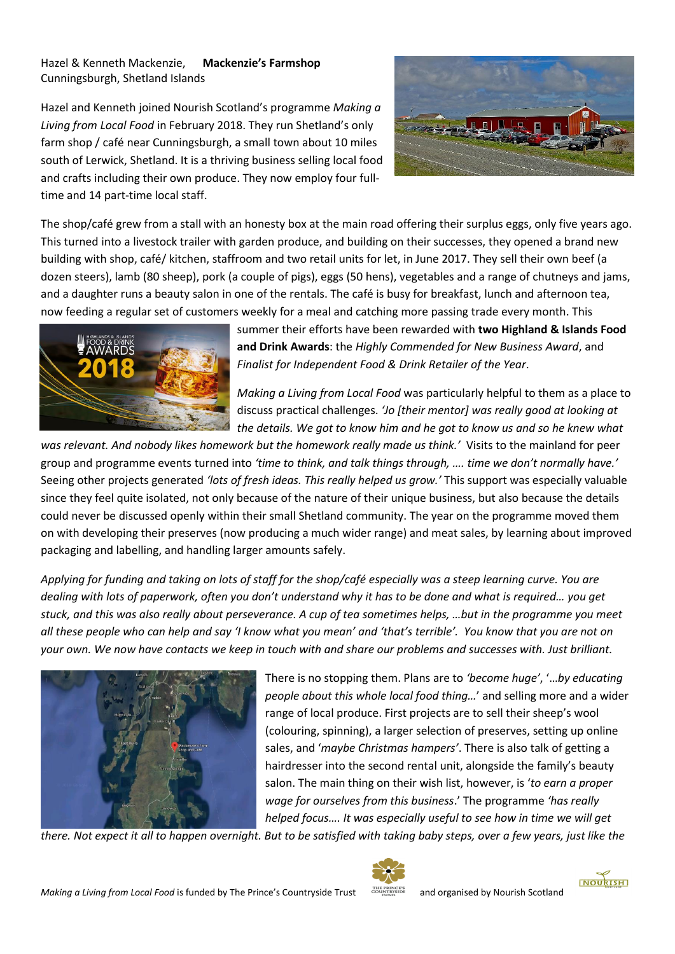Hazel & Kenneth Mackenzie, **Mackenzie's Farmshop** Cunningsburgh, Shetland Islands

Hazel and Kenneth joined Nourish Scotland's programme *Making a Living from Local Food* in February 2018. They run Shetland's only farm shop / café near Cunningsburgh, a small town about 10 miles south of Lerwick, Shetland. It is a thriving business selling local food and crafts including their own produce. They now employ four fulltime and 14 part-time local staff.



The shop/café grew from a stall with an honesty box at the main road offering their surplus eggs, only five years ago. This turned into a livestock trailer with garden produce, and building on their successes, they opened a brand new building with shop, café/ kitchen, staffroom and two retail units for let, in June 2017. They sell their own beef (a dozen steers), lamb (80 sheep), pork (a couple of pigs), eggs (50 hens), vegetables and a range of chutneys and jams, and a daughter runs a beauty salon in one of the rentals. The café is busy for breakfast, lunch and afternoon tea, now feeding a regular set of customers weekly for a meal and catching more passing trade every month. This



summer their efforts have been rewarded with **two Highland & Islands Food and Drink Awards**: the *Highly Commended for New Business Award*, and *Finalist for Independent Food & Drink Retailer of the Year*.

*Making a Living from Local Food* was particularly helpful to them as a place to discuss practical challenges. *'Jo [their mentor] was really good at looking at the details. We got to know him and he got to know us and so he knew what* 

*was relevant. And nobody likes homework but the homework really made us think.'* Visits to the mainland for peer group and programme events turned into *'time to think, and talk things through, …. time we don't normally have.'* Seeing other projects generated *'lots of fresh ideas. This really helped us grow.'* This support was especially valuable since they feel quite isolated, not only because of the nature of their unique business, but also because the details could never be discussed openly within their small Shetland community. The year on the programme moved them on with developing their preserves (now producing a much wider range) and meat sales, by learning about improved packaging and labelling, and handling larger amounts safely.

*Applying for funding and taking on lots of staff for the shop/café especially was a steep learning curve. You are dealing with lots of paperwork, often you don't understand why it has to be done and what is required… you get stuck, and this was also really about perseverance. A cup of tea sometimes helps, …but in the programme you meet all these people who can help and say 'I know what you mean' and 'that's terrible'. You know that you are not on your own. We now have contacts we keep in touch with and share our problems and successes with. Just brilliant.*



There is no stopping them. Plans are to *'become huge'*, '…*by educating people about this whole local food thing…*' and selling more and a wider range of local produce. First projects are to sell their sheep's wool (colouring, spinning), a larger selection of preserves, setting up online sales, and '*maybe Christmas hampers'*. There is also talk of getting a hairdresser into the second rental unit, alongside the family's beauty salon. The main thing on their wish list, however, is '*to earn a proper wage for ourselves from this business*.' The programme *'has really helped focus…. It was especially useful to see how in time we will get* 

*there. Not expect it all to happen overnight. But to be satisfied with taking baby steps, over a few years, just like the*